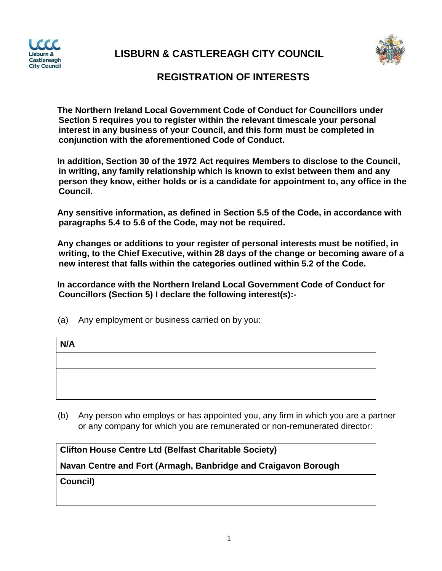



## **REGISTRATION OF INTERESTS**

**The Northern Ireland Local Government Code of Conduct for Councillors under Section 5 requires you to register within the relevant timescale your personal interest in any business of your Council, and this form must be completed in conjunction with the aforementioned Code of Conduct.** 

**In addition, Section 30 of the 1972 Act requires Members to disclose to the Council, in writing, any family relationship which is known to exist between them and any person they know, either holds or is a candidate for appointment to, any office in the Council.** 

**Any sensitive information, as defined in Section 5.5 of the Code, in accordance with paragraphs 5.4 to 5.6 of the Code, may not be required.** 

**Any changes or additions to your register of personal interests must be notified, in writing, to the Chief Executive, within 28 days of the change or becoming aware of a new interest that falls within the categories outlined within 5.2 of the Code.** 

**In accordance with the Northern Ireland Local Government Code of Conduct for Councillors (Section 5) I declare the following interest(s):-**

| N/A |  |  |  |
|-----|--|--|--|
|     |  |  |  |
|     |  |  |  |
|     |  |  |  |

(a) Any employment or business carried on by you:

(b) Any person who employs or has appointed you, any firm in which you are a partner or any company for which you are remunerated or non-remunerated director:

# **Clifton House Centre Ltd (Belfast Charitable Society) Navan Centre and Fort (Armagh, Banbridge and Craigavon Borough Council)**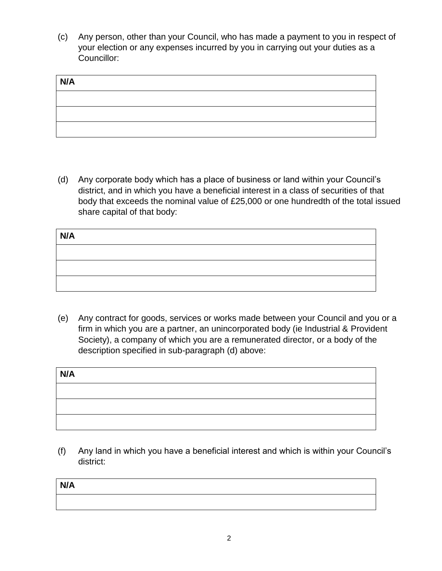(c) Any person, other than your Council, who has made a payment to you in respect of your election or any expenses incurred by you in carrying out your duties as a Councillor:

| N/A |  |  |
|-----|--|--|
|     |  |  |
|     |  |  |
|     |  |  |

(d) Any corporate body which has a place of business or land within your Council's district, and in which you have a beneficial interest in a class of securities of that body that exceeds the nominal value of £25,000 or one hundredth of the total issued share capital of that body:

| N/A |  |
|-----|--|
|     |  |
|     |  |
|     |  |

(e) Any contract for goods, services or works made between your Council and you or a firm in which you are a partner, an unincorporated body (ie Industrial & Provident Society), a company of which you are a remunerated director, or a body of the description specified in sub-paragraph (d) above:

| N/A |  |  |
|-----|--|--|
|     |  |  |
|     |  |  |
|     |  |  |

(f) Any land in which you have a beneficial interest and which is within your Council's district:

| N/A |  |
|-----|--|
|     |  |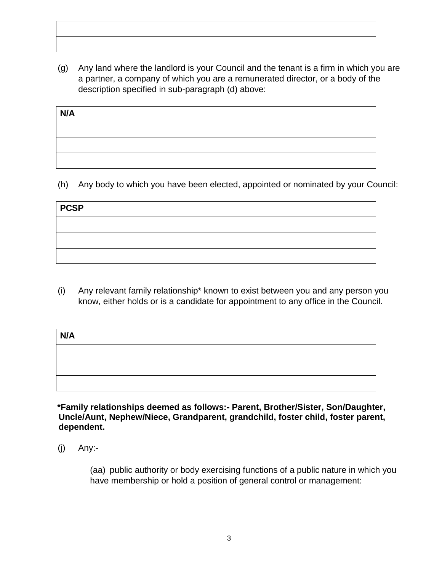(g) Any land where the landlord is your Council and the tenant is a firm in which you are a partner, a company of which you are a remunerated director, or a body of the description specified in sub-paragraph (d) above:

| N/A |  |  |  |
|-----|--|--|--|
|     |  |  |  |
|     |  |  |  |
|     |  |  |  |

(h) Any body to which you have been elected, appointed or nominated by your Council:

| <b>PCSP</b> |  |  |  |
|-------------|--|--|--|
|             |  |  |  |
|             |  |  |  |
|             |  |  |  |

(i) Any relevant family relationship\* known to exist between you and any person you know, either holds or is a candidate for appointment to any office in the Council.

| N/A |  |
|-----|--|
|     |  |
|     |  |
|     |  |

**\*Family relationships deemed as follows:- Parent, Brother/Sister, Son/Daughter, Uncle/Aunt, Nephew/Niece, Grandparent, grandchild, foster child, foster parent, dependent.** 

(j) Any:-

(aa) public authority or body exercising functions of a public nature in which you have membership or hold a position of general control or management: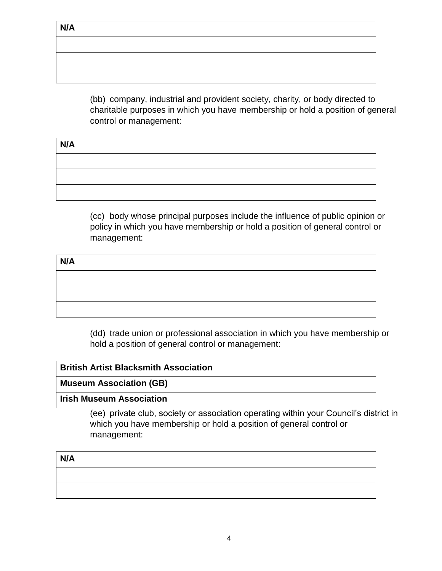**N/A** 

(bb) company, industrial and provident society, charity, or body directed to charitable purposes in which you have membership or hold a position of general control or management:

| N/A |  |  |  |
|-----|--|--|--|
|     |  |  |  |
|     |  |  |  |
|     |  |  |  |

(cc) body whose principal purposes include the influence of public opinion or policy in which you have membership or hold a position of general control or management:

| N/A |  |
|-----|--|
|     |  |
|     |  |
|     |  |

(dd) trade union or professional association in which you have membership or hold a position of general control or management:

### **British Artist Blacksmith Association**

**Museum Association (GB)** 

### **Irish Museum Association**

(ee) private club, society or association operating within your Council's district in which you have membership or hold a position of general control or management:

### **N/A**